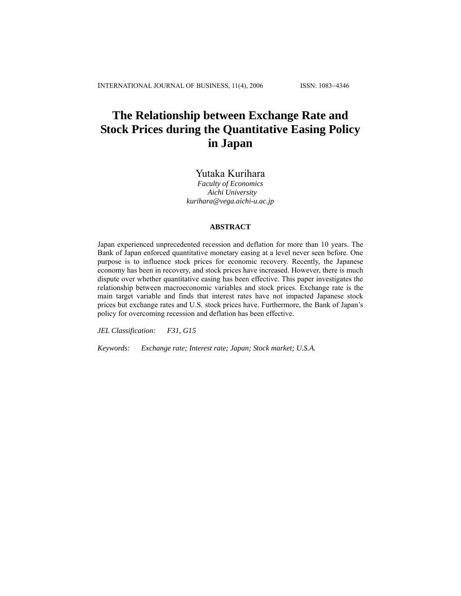# **The Relationship between Exchange Rate and Stock Prices during the Quantitative Easing Policy in Japan**

# Yutaka Kurihara

*Faculty of Economics Aichi University kurihara@vega.aichi-u.ac.jp* 

## **ABSTRACT**

Japan experienced unprecedented recession and deflation for more than 10 years. The Bank of Japan enforced quantitative monetary easing at a level never seen before. One purpose is to influence stock prices for economic recovery. Recently, the Japanese economy has been in recovery, and stock prices have increased. However, there is much dispute over whether quantitative easing has been effective. This paper investigates the relationship between macroeconomic variables and stock prices. Exchange rate is the main target variable and finds that interest rates have not impacted Japanese stock prices but exchange rates and U.S. stock prices have. Furthermore, the Bank of Japan's policy for overcoming recession and deflation has been effective.

*JEL Classification: F31, G15* 

*Keywords: Exchange rate; Interest rate; Japan; Stock market; U.S.A.*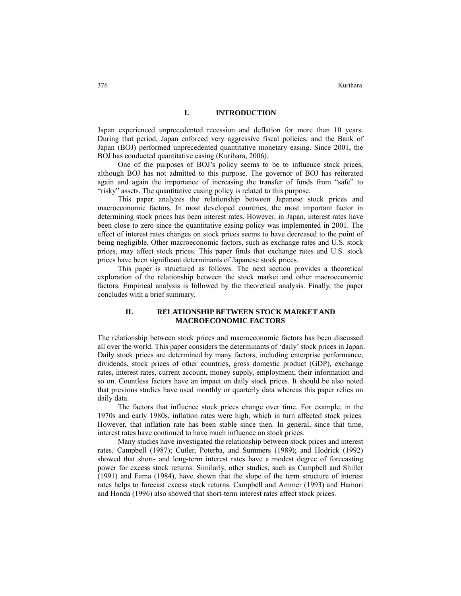#### **I. INTRODUCTION**

Japan experienced unprecedented recession and deflation for more than 10 years. During that period, Japan enforced very aggressive fiscal policies, and the Bank of Japan (BOJ) performed unprecedented quantitative monetary easing. Since 2001, the BOJ has conducted quantitative easing (Kurihara, 2006).

One of the purposes of BOJ's policy seems to be to influence stock prices, although BOJ has not admitted to this purpose. The governor of BOJ has reiterated again and again the importance of increasing the transfer of funds from "safe" to "risky" assets. The quantitative easing policy is related to this purpose.

This paper analyzes the relationship between Japanese stock prices and macroeconomic factors. In most developed countries, the most important factor in determining stock prices has been interest rates. However, in Japan, interest rates have been close to zero since the quantitative easing policy was implemented in 2001. The effect of interest rates changes on stock prices seems to have decreased to the point of being negligible. Other macroeconomic factors, such as exchange rates and U.S. stock prices, may affect stock prices. This paper finds that exchange rates and U.S. stock prices have been significant determinants of Japanese stock prices.

This paper is structured as follows. The next section provides a theoretical exploration of the relationship between the stock market and other macroeconomic factors. Empirical analysis is followed by the theoretical analysis. Finally, the paper concludes with a brief summary.

#### **II. RELATIONSHIP BETWEEN STOCK MARKET AND MACROECONOMIC FACTORS**

The relationship between stock prices and macroeconomic factors has been discussed all over the world. This paper considers the determinants of 'daily' stock prices in Japan. Daily stock prices are determined by many factors, including enterprise performance, dividends, stock prices of other countries, gross domestic product (GDP), exchange rates, interest rates, current account, money supply, employment, their information and so on. Countless factors have an impact on daily stock prices. It should be also noted that previous studies have used monthly or quarterly data whereas this paper relies on daily data.

The factors that influence stock prices change over time. For example, in the 1970s and early 1980s, inflation rates were high, which in turn affected stock prices. However, that inflation rate has been stable since then. In general, since that time, interest rates have continued to have much influence on stock prices.

Many studies have investigated the relationship between stock prices and interest rates. Campbell (1987); Cutler, Poterba, and Summers (1989); and Hodrick (1992) showed that short- and long-term interest rates have a modest degree of forecasting power for excess stock returns. Similarly, other studies, such as Campbell and Shiller (1991) and Fama (1984), have shown that the slope of the term structure of interest rates helps to forecast excess stock returns. Campbell and Ammer (1993) and Hamori and Honda (1996) also showed that short-term interest rates affect stock prices.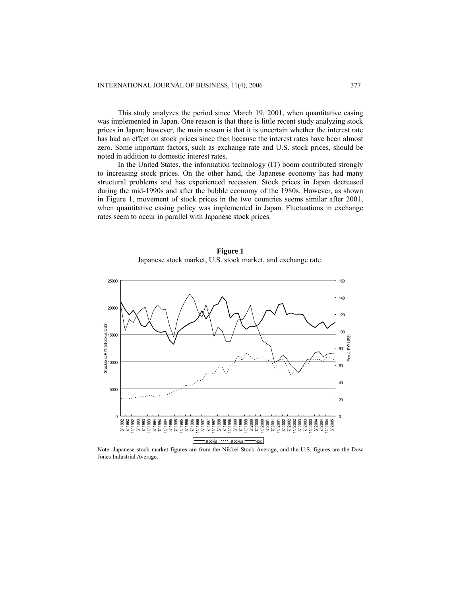This study analyzes the period since March 19, 2001, when quantitative easing was implemented in Japan. One reason is that there is little recent study analyzing stock prices in Japan; however, the main reason is that it is uncertain whether the interest rate has had an effect on stock prices since then because the interest rates have been almost zero. Some important factors, such as exchange rate and U.S. stock prices, should be noted in addition to domestic interest rates.

In the United States, the information technology (IT) boom contributed strongly to increasing stock prices. On the other hand, the Japanese economy has had many structural problems and has experienced recession. Stock prices in Japan decreased during the mid-1990s and after the bubble economy of the 1980s. However, as shown in Figure 1, movement of stock prices in the two countries seems similar after 2001, when quantitative easing policy was implemented in Japan. Fluctuations in exchange rates seem to occur in parallel with Japanese stock prices.





Note: Japanese stock market figures are from the Nikkei Stock Average, and the U.S. figures are the Dow Jones Industrial Average.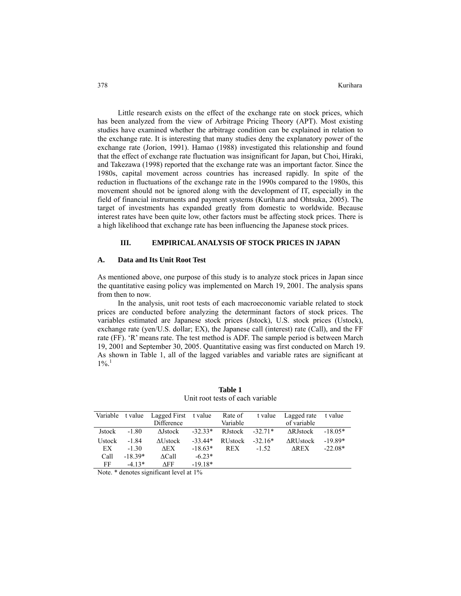Little research exists on the effect of the exchange rate on stock prices, which has been analyzed from the view of Arbitrage Pricing Theory (APT). Most existing studies have examined whether the arbitrage condition can be explained in relation to the exchange rate. It is interesting that many studies deny the explanatory power of the exchange rate (Jorion, 1991). Hamao (1988) investigated this relationship and found that the effect of exchange rate fluctuation was insignificant for Japan, but Choi, Hiraki, and Takezawa (1998) reported that the exchange rate was an important factor. Since the 1980s, capital movement across countries has increased rapidly. In spite of the reduction in fluctuations of the exchange rate in the 1990s compared to the 1980s, this movement should not be ignored along with the development of IT, especially in the field of financial instruments and payment systems (Kurihara and Ohtsuka, 2005). The target of investments has expanded greatly from domestic to worldwide. Because interest rates have been quite low, other factors must be affecting stock prices. There is a high likelihood that exchange rate has been influencing the Japanese stock prices.

#### **III. EMPIRICAL ANALYSIS OF STOCK PRICES IN JAPAN**

#### **A. Data and Its Unit Root Test**

As mentioned above, one purpose of this study is to analyze stock prices in Japan since the quantitative easing policy was implemented on March 19, 2001. The analysis spans from then to now.

In the analysis, unit root tests of each macroeconomic variable related to stock prices are conducted before analyzing the determinant factors of stock prices. The variables estimated are Japanese stock prices (Jstock), U.S. stock prices (Ustock), exchange rate (yen/U.S. dollar; EX), the Japanese call (interest) rate (Call), and the FF rate (FF). 'R' means rate. The test method is ADF. The sample period is between March 19, 2001 and September 30, 2005. Quantitative easing was first conducted on March 19. As shown in Table 1, all of the lagged variables and variable rates are significant at  $1\%$ <sup>1</sup>

| Variable      | t value   | Lagged First     | t value   | Rate of        | t value   | Lagged rate      | t value   |
|---------------|-----------|------------------|-----------|----------------|-----------|------------------|-----------|
|               |           | Difference       |           | Variable       |           | of variable      |           |
| Jstock        | $-1.80$   | <b>AJstock</b>   | $-32.33*$ | <b>RJstock</b> | $-32.71*$ | <b>ARJstock</b>  | $-18.05*$ |
| <b>Ustock</b> | $-1.84$   | $\Delta U$ stock | $-33.44*$ | <b>RUstock</b> | $-32.16*$ | $\Delta$ RUstock | $-19.89*$ |
| EX            | $-1.30$   | AEX.             | $-18.63*$ | <b>REX</b>     | $-1.52$   | <b>AREX</b>      | $-22.08*$ |
| Call          | $-18.39*$ | ACall            | $-6.23*$  |                |           |                  |           |
| FF            | $-4.13*$  | AFF              | $-19.18*$ |                |           |                  |           |

**Table 1**  Unit root tests of each variable

Note. \* denotes significant level at 1%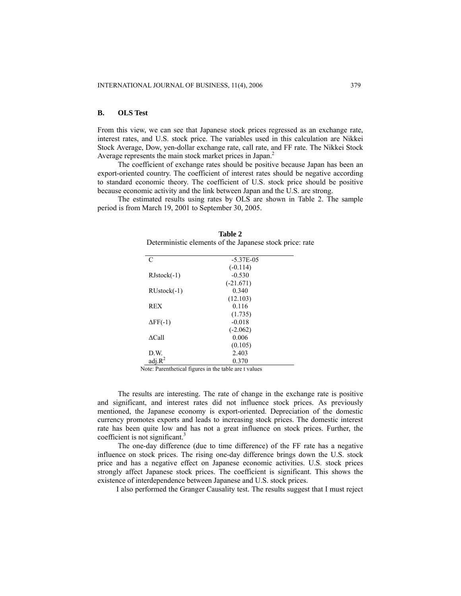## **B. OLS Test**

From this view, we can see that Japanese stock prices regressed as an exchange rate, interest rates, and U.S. stock price. The variables used in this calculation are Nikkei Stock Average, Dow, yen-dollar exchange rate, call rate, and FF rate. The Nikkei Stock Average represents the main stock market prices in Japan.<sup>2</sup>

The coefficient of exchange rates should be positive because Japan has been an export-oriented country. The coefficient of interest rates should be negative according to standard economic theory. The coefficient of U.S. stock price should be positive because economic activity and the link between Japan and the U.S. are strong.

The estimated results using rates by OLS are shown in Table 2. The sample period is from March 19, 2001 to September 30, 2005.

| C                  | $-5.37E - 0.5$ |  |
|--------------------|----------------|--|
|                    | $(-0.114)$     |  |
| $RJstock(-1)$      | $-0.530$       |  |
|                    | $(-21.671)$    |  |
| $RUstock(-1)$      | 0.340          |  |
|                    | (12.103)       |  |
| <b>REX</b>         | 0.116          |  |
|                    | (1.735)        |  |
| $\Delta FF(-1)$    | $-0.018$       |  |
|                    | $(-2.062)$     |  |
| $\triangle$ Call   | 0.006          |  |
|                    | (0.105)        |  |
| D.W.               | 2.403          |  |
| adj.R <sup>2</sup> | 0.370          |  |

**Table 2**  Deterministic elements of the Japanese stock price: rate

Note: Parenthetical figures in the table are t values

The results are interesting. The rate of change in the exchange rate is positive and significant, and interest rates did not influence stock prices. As previously mentioned, the Japanese economy is export-oriented. Depreciation of the domestic currency promotes exports and leads to increasing stock prices. The domestic interest rate has been quite low and has not a great influence on stock prices. Further, the coefficient is not significant.<sup>3</sup>

The one-day difference (due to time difference) of the FF rate has a negative influence on stock prices. The rising one-day difference brings down the U.S. stock price and has a negative effect on Japanese economic activities. U.S. stock prices strongly affect Japanese stock prices. The coefficient is significant. This shows the existence of interdependence between Japanese and U.S. stock prices.

I also performed the Granger Causality test. The results suggest that I must reject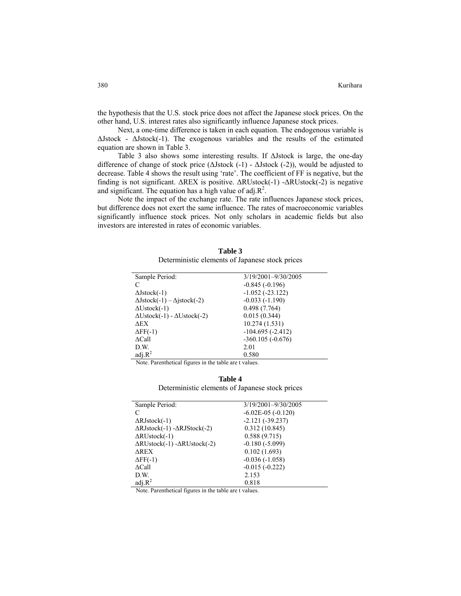the hypothesis that the U.S. stock price does not affect the Japanese stock prices. On the other hand, U.S. interest rates also significantly influence Japanese stock prices.

Next, a one-time difference is taken in each equation. The endogenous variable is  $\Delta$ Jstock -  $\Delta$ Jstock(-1). The exogenous variables and the results of the estimated equation are shown in Table 3.

Table 3 also shows some interesting results. If ΔJstock is large, the one-day difference of change of stock price ( $\Delta$ Jstock (-1) -  $\Delta$ Jstock (-2)), would be adjusted to decrease. Table 4 shows the result using 'rate'. The coefficient of FF is negative, but the finding is not significant. ΔREX is positive. ΔRUstock(-1) -ΔRUstock(-2) is negative and significant. The equation has a high value of adj. $\mathbb{R}^2$ .

Note the impact of the exchange rate. The rate influences Japanese stock prices, but difference does not exert the same influence. The rates of macroeconomic variables significantly influence stock prices. Not only scholars in academic fields but also investors are interested in rates of economic variables.

| Table 3                                         |
|-------------------------------------------------|
| Deterministic elements of Japanese stock prices |

| Sample Period:                                    | 3/19/2001-9/30/2005 |
|---------------------------------------------------|---------------------|
| C                                                 | $-0.845(-0.196)$    |
| $\Delta$ Jstock $(-1)$                            | $-1.052(-23.122)$   |
| $\Delta Jstock(-1) - \Delta jstock(-2)$           | $-0.033(-1.190)$    |
| $\Delta U$ stock $(-1)$                           | 0.498(7.764)        |
| $\Delta U$ stock $(-1)$ - $\Delta U$ stock $(-2)$ | 0.015(0.344)        |
| <b>AEX</b>                                        | 10.274 (1.531)      |
| $\Delta FF(-1)$                                   | $-104.695(-2.412)$  |
| $\triangle$ Call                                  | $-360.105(-0.676)$  |
| D.W.                                              | 2.01                |
| adj.R <sup>2</sup>                                | 0.580               |

Note. Parenthetical figures in the table are t values.

#### **Table 4**

Deterministic elements of Japanese stock prices

| Sample Period:                                          | 3/19/2001-9/30/2005    |
|---------------------------------------------------------|------------------------|
| C                                                       | $-6.02E-05$ $(-0.120)$ |
| $\Delta$ RJstock(-1)                                    | $-2.121(-39.237)$      |
| $\Delta$ RJstock(-1) - $\Delta$ RJStock(-2)             | 0.312(10.845)          |
| $\Delta \text{RUstock}(-1)$                             | 0.588(9.715)           |
| $\Delta \text{RUstock}(-1) - \Delta \text{RUstock}(-2)$ | $-0.180(-5.099)$       |
| ∆REX                                                    | 0.102(1.693)           |
| $\Delta FF(-1)$                                         | $-0.036(-1.058)$       |
| $\Delta$ Call                                           | $-0.015(-0.222)$       |
| D.W.                                                    | 2.153                  |
| $adj.R^2$                                               | 0.818                  |

Note. Parenthetical figures in the table are t values.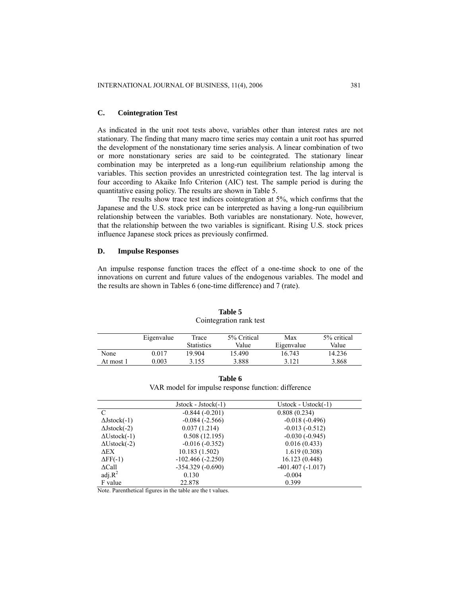### **C. Cointegration Test**

As indicated in the unit root tests above, variables other than interest rates are not stationary. The finding that many macro time series may contain a unit root has spurred the development of the nonstationary time series analysis. A linear combination of two or more nonstationary series are said to be cointegrated. The stationary linear combination may be interpreted as a long-run equilibrium relationship among the variables. This section provides an unrestricted cointegration test. The lag interval is four according to Akaike Info Criterion (AIC) test. The sample period is during the quantitative easing policy. The results are shown in Table 5.

The results show trace test indices cointegration at 5%, which confirms that the Japanese and the U.S. stock price can be interpreted as having a long-run equilibrium relationship between the variables. Both variables are nonstationary. Note, however, that the relationship between the two variables is significant. Rising U.S. stock prices influence Japanese stock prices as previously confirmed.

#### **D. Impulse Responses**

An impulse response function traces the effect of a one-time shock to one of the innovations on current and future values of the endogenous variables. The model and the results are shown in Tables 6 (one-time difference) and 7 (rate).

|           | Eigenvalue | Trace             | 5% Critical | Max        | 5% critical |
|-----------|------------|-------------------|-------------|------------|-------------|
|           |            | <b>Statistics</b> | Value       | Eigenvalue | Value       |
| None      | 0.017      | 19.904            | 15.490      | 16.743     | 14.236      |
| At most 1 | 0.003      | 3.155             | 3.888       | 3.121      | 3.868       |

**Table 5**  Cointegration rank test

| Table 6                                             |  |  |  |  |  |  |
|-----------------------------------------------------|--|--|--|--|--|--|
| VAR model for impulse response function: difference |  |  |  |  |  |  |

|                         | $Jstock - Jstock(-1)$ | Ustock - Ustock $(-1)$ |
|-------------------------|-----------------------|------------------------|
| C                       | $-0.844(-0.201)$      | 0.808(0.234)           |
| $\Delta$ Jstock $(-1)$  | $-0.084(-2.566)$      | $-0.018(-0.496)$       |
| $\Delta$ Jstock $(-2)$  | 0.037(1.214)          | $-0.013(-0.512)$       |
| $\Delta U$ stock $(-1)$ | 0.508(12.195)         | $-0.030(-0.945)$       |
| $\Delta U$ stock $(-2)$ | $-0.016(-0.352)$      | 0.016(0.433)           |
| ΔЕΧ                     | 10.183(1.502)         | 1.619(0.308)           |
| $\Delta FF(-1)$         | $-102.466(-2.250)$    | 16.123(0.448)          |
| $\Delta$ Call           | $-354.329(-0.690)$    | $-401.407(-1.017)$     |
| $adj.R^2$               | 0.130                 | $-0.004$               |
| F value                 | 22.878                | 0.399                  |

Note. Parenthetical figures in the table are the t values.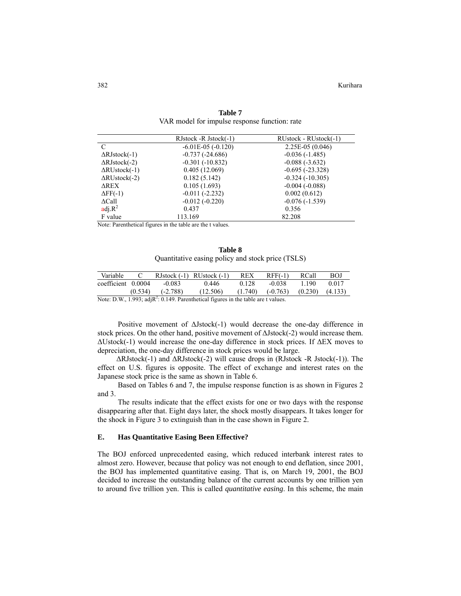382 Kurihara

|                             | RJstock - RJstock(-1)  | RUstock - RUstock(-1) |
|-----------------------------|------------------------|-----------------------|
| $\mathcal{C}$               | $-6.01E-05$ $(-0.120)$ | 2.25E-05 (0.046)      |
| $\Delta$ RJstock(-1)        | $-0.737(-24.686)$      | $-0.036(-1.485)$      |
| $\Delta$ RJstock(-2)        | $-0.301(-10.832)$      | $-0.088(-3.632)$      |
| $\Delta \text{RUstock}(-1)$ | 0.405(12.069)          | $-0.695(-23.328)$     |
| $\Delta \text{RUstock}(-2)$ | 0.182(5.142)           | $-0.324(-10.305)$     |
| ΔREX                        | 0.105(1.693)           | $-0.004(-0.088)$      |
| $\Delta FF(-1)$             | $-0.011(-2.232)$       | 0.002(0.612)          |
| $\Delta$ Call               | $-0.012(-0.220)$       | $-0.076(-1.539)$      |
| $\text{adj.}\mathbb{R}^2$   | 0.437                  | 0.356                 |
| F value                     | 113.169                | 82.208                |

**Table 7**  VAR model for impulse response function: rate

Note: Parenthetical figures in the table are the t values.

**Table 8**  Quantitative easing policy and stock price (TSLS)

| Variable                                                                                                          |  |                      | RJstock $(-1)$ RUstock $(-1)$ REX |       | $RFF(-1)$                                | RCall   | BOJ   |
|-------------------------------------------------------------------------------------------------------------------|--|----------------------|-----------------------------------|-------|------------------------------------------|---------|-------|
| coefficient 0.0004                                                                                                |  | $-0.083$             | 0.446                             | 0.128 | -0.038                                   | 1 1 9 0 | 0.017 |
|                                                                                                                   |  | $(0.534)$ $(-2.788)$ | (12.506)                          |       | $(1.740)$ $(-0.763)$ $(0.230)$ $(4.133)$ |         |       |
| Moto: $\mathbf{D} \mathbf{W}$ = 1.002; odi $\mathbf{D}^2$ : 0.140. Dopenthotical figures in the table and typluge |  |                      |                                   |       |                                          |         |       |

Note: D.W., 1.993; adj $R^2$ : 0.149. Parenthetical figures in the table are t values.

Positive movement of ΔJstock(-1) would decrease the one-day difference in stock prices. On the other hand, positive movement of ΔJstock(-2) would increase them. ΔUstock(-1) would increase the one-day difference in stock prices. If ΔEX moves to depreciation, the one-day difference in stock prices would be large.

ΔRJstock(-1) and ΔRJstock(-2) will cause drops in (RJstock -R Jstock(-1)). The effect on U.S. figures is opposite. The effect of exchange and interest rates on the Japanese stock price is the same as shown in Table 6.

Based on Tables 6 and 7, the impulse response function is as shown in Figures 2 and 3.

The results indicate that the effect exists for one or two days with the response disappearing after that. Eight days later, the shock mostly disappears. It takes longer for the shock in Figure 3 to extinguish than in the case shown in Figure 2.

#### **E. Has Quantitative Easing Been Effective?**

The BOJ enforced unprecedented easing, which reduced interbank interest rates to almost zero. However, because that policy was not enough to end deflation, since 2001, the BOJ has implemented quantitative easing. That is, on March 19, 2001, the BOJ decided to increase the outstanding balance of the current accounts by one trillion yen to around five trillion yen. This is called *quantitative easing*. In this scheme, the main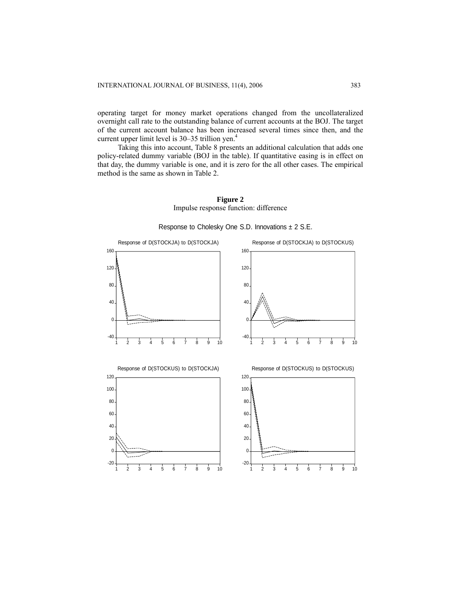operating target for money market operations changed from the uncollateralized overnight call rate to the outstanding balance of current accounts at the BOJ. The target of the current account balance has been increased several times since then, and the current upper limit level is  $30-35$  trillion yen.<sup>4</sup>

Taking this into account, Table 8 presents an additional calculation that adds one policy-related dummy variable (BOJ in the table). If quantitative easing is in effect on that day, the dummy variable is one, and it is zero for the all other cases. The empirical method is the same as shown in Table 2.





Response to Cholesky One S.D. Innovations  $\pm 2$  S.E.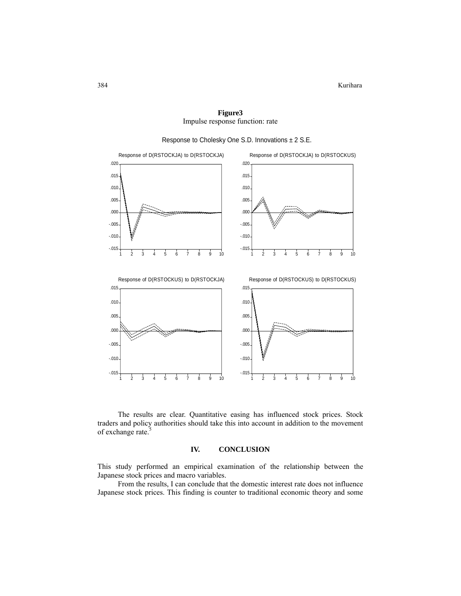-.015 -.010 -.005 .000 .005 .010 .015 .020 1 2 3 4 5 6 7 8 9 10 Response of D(RSTOCKJA) to D(RSTOCKJA) -.015 -.010 -.005 .000 .005 .010 .015 .020 1 2 3 4 5 6 7 8 9 10 Response of D(RSTOCKJA) to D(RSTOCKUS) -.015 -.010 -.005 .000 .005 .010 .015 1 2 3 4 5 6 7 8 9 10 Response of D(RSTOCKUS) to D(RSTOCKJA) -.015  $-.010.$ -.005 .000 .005 .010 .015 1 2 3 4 5 6 7 8 9 10 Response of D(RSTOCKUS) to D(RSTOCKUS)

**Figure3**  Impulse response function: rate

Response to Cholesky One S.D. Innovations ± 2 S.E.

The results are clear. Quantitative easing has influenced stock prices. Stock traders and policy authorities should take this into account in addition to the movement of exchange rate.<sup>5</sup>

#### **IV. CONCLUSION**

This study performed an empirical examination of the relationship between the Japanese stock prices and macro variables.

From the results, I can conclude that the domestic interest rate does not influence Japanese stock prices. This finding is counter to traditional economic theory and some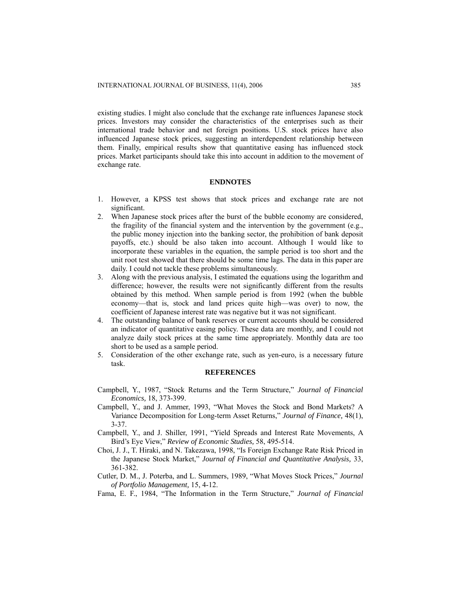existing studies. I might also conclude that the exchange rate influences Japanese stock prices. Investors may consider the characteristics of the enterprises such as their international trade behavior and net foreign positions. U.S. stock prices have also influenced Japanese stock prices, suggesting an interdependent relationship between them. Finally, empirical results show that quantitative easing has influenced stock prices. Market participants should take this into account in addition to the movement of exchange rate.

## **ENDNOTES**

- 1. However, a KPSS test shows that stock prices and exchange rate are not significant.
- 2. When Japanese stock prices after the burst of the bubble economy are considered, the fragility of the financial system and the intervention by the government (e.g., the public money injection into the banking sector, the prohibition of bank deposit payoffs, etc.) should be also taken into account. Although I would like to incorporate these variables in the equation, the sample period is too short and the unit root test showed that there should be some time lags. The data in this paper are daily. I could not tackle these problems simultaneously.
- 3. Along with the previous analysis, I estimated the equations using the logarithm and difference; however, the results were not significantly different from the results obtained by this method. When sample period is from 1992 (when the bubble economy—that is, stock and land prices quite high—was over) to now, the coefficient of Japanese interest rate was negative but it was not significant.
- 4. The outstanding balance of bank reserves or current accounts should be considered an indicator of quantitative easing policy. These data are monthly, and I could not analyze daily stock prices at the same time appropriately. Monthly data are too short to be used as a sample period.
- 5. Consideration of the other exchange rate, such as yen-euro, is a necessary future task.

#### **REFERENCES**

- Campbell, Y., 1987, "Stock Returns and the Term Structure," *Journal of Financial Economics,* 18, 373-399.
- Campbell, Y., and J. Ammer, 1993, "What Moves the Stock and Bond Markets? A Variance Decomposition for Long-term Asset Returns," *Journal of Finance,* 48(1), 3-37.
- Campbell, Y., and J. Shiller, 1991, "Yield Spreads and Interest Rate Movements, A Bird's Eye View," *Review of Economic Studies,* 58, 495-514.
- Choi, J. J., T. Hiraki, and N. Takezawa, 1998, "Is Foreign Exchange Rate Risk Priced in the Japanese Stock Market," *Journal of Financial and Quantitative Analysis,* 33, 361-382.
- Cutler, D. M., J. Poterba, and L. Summers, 1989, "What Moves Stock Prices," *Journal of Portfolio Management,* 15, 4-12.
- Fama, E. F., 1984, "The Information in the Term Structure," *Journal of Financial*